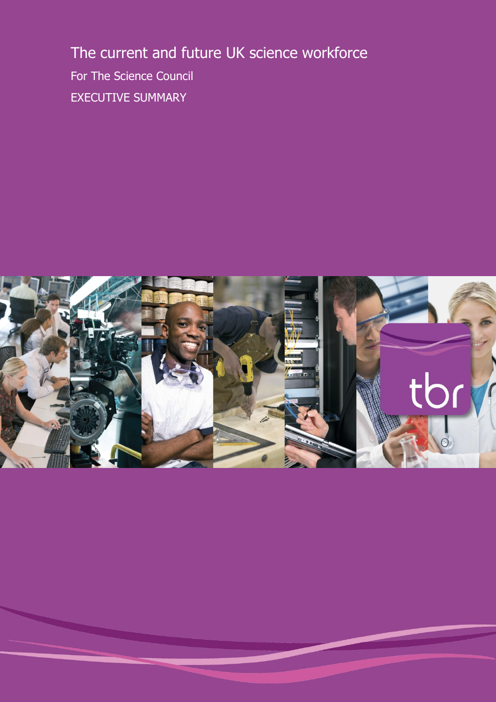The current and future UK science workforce For The Science Council EXECUTIVE SUMMARY

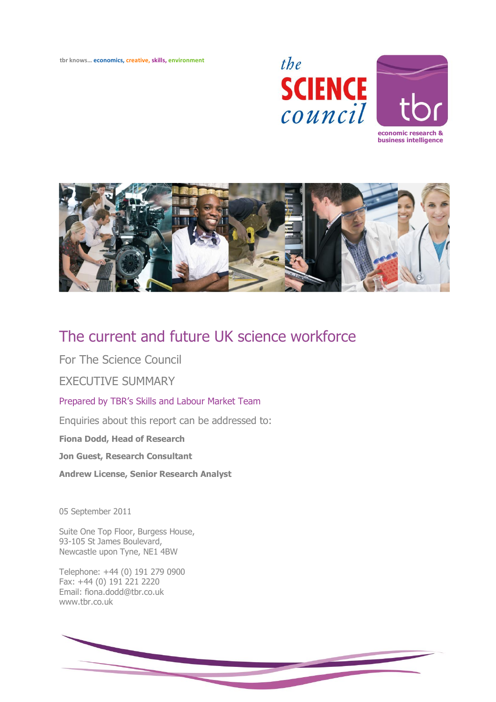**tbr knows… economics, creative, skills, environment**





# The current and future UK science workforce

For The Science Council

# EXECUTIVE SUMMARY

Prepared by TBR's Skills and Labour Market Team

Enquiries about this report can be addressed to:

**Fiona Dodd, Head of Research**

**Jon Guest, Research Consultant**

**Andrew License, Senior Research Analyst**

05 September 2011

Suite One Top Floor, Burgess House, 93-105 St James Boulevard, Newcastle upon Tyne, NE1 4BW

Telephone: +44 (0) 191 279 0900 Fax: +44 (0) 191 221 2220 Email: fiona.dodd@tbr.co.uk [www.tbr.co.uk](http://www.tbr.co.uk/)

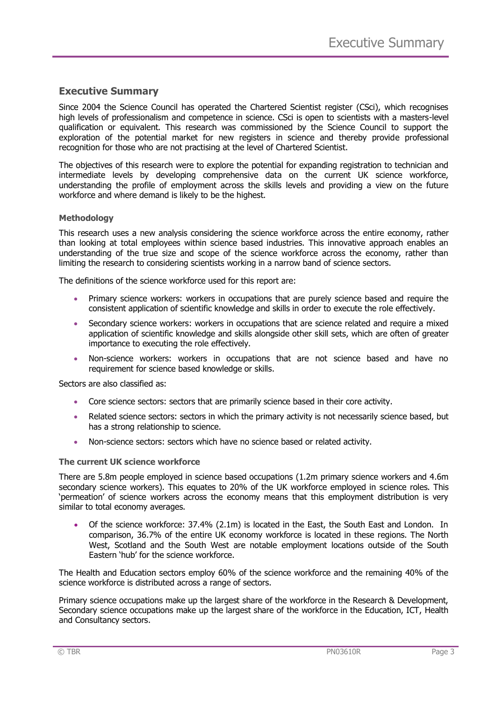# **Executive Summary**

Since 2004 the Science Council has operated the Chartered Scientist register (CSci), which recognises high levels of professionalism and competence in science. CSci is open to scientists with a masters-level qualification or equivalent. This research was commissioned by the Science Council to support the exploration of the potential market for new registers in science and thereby provide professional recognition for those who are not practising at the level of Chartered Scientist.

The objectives of this research were to explore the potential for expanding registration to technician and intermediate levels by developing comprehensive data on the current UK science workforce, understanding the profile of employment across the skills levels and providing a view on the future workforce and where demand is likely to be the highest.

# **Methodology**

This research uses a new analysis considering the science workforce across the entire economy, rather than looking at total employees within science based industries. This innovative approach enables an understanding of the true size and scope of the science workforce across the economy, rather than limiting the research to considering scientists working in a narrow band of science sectors.

The definitions of the science workforce used for this report are:

- Primary science workers: workers in occupations that are purely science based and require the consistent application of scientific knowledge and skills in order to execute the role effectively.
- Secondary science workers: workers in occupations that are science related and require a mixed application of scientific knowledge and skills alongside other skill sets, which are often of greater importance to executing the role effectively.
- Non-science workers: workers in occupations that are not science based and have no requirement for science based knowledge or skills.

Sectors are also classified as:

- Core science sectors: sectors that are primarily science based in their core activity.
- Related science sectors: sectors in which the primary activity is not necessarily science based, but has a strong relationship to science.
- Non-science sectors: sectors which have no science based or related activity.

## **The current UK science workforce**

There are 5.8m people employed in science based occupations (1.2m primary science workers and 4.6m secondary science workers). This equates to 20% of the UK workforce employed in science roles. This 'permeation' of science workers across the economy means that this employment distribution is very similar to total economy averages.

 Of the science workforce: 37.4% (2.1m) is located in the East, the South East and London. In comparison, 36.7% of the entire UK economy workforce is located in these regions. The North West, Scotland and the South West are notable employment locations outside of the South Eastern 'hub' for the science workforce.

The Health and Education sectors employ 60% of the science workforce and the remaining 40% of the science workforce is distributed across a range of sectors.

Primary science occupations make up the largest share of the workforce in the Research & Development, Secondary science occupations make up the largest share of the workforce in the Education, ICT, Health and Consultancy sectors.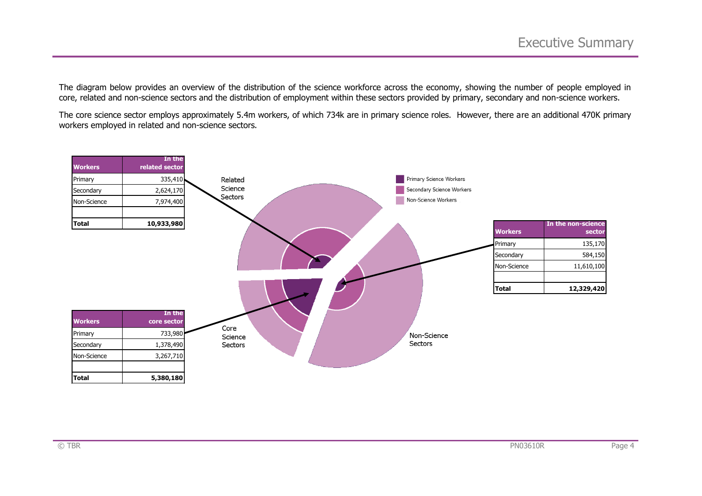The diagram below provides an overview of the distribution of the science workforce across the economy, showing the number of people employed in core, related and non-science sectors and the distribution of employment within these sectors provided by primary, secondary and non-science workers.

The core science sector employs approximately 5.4m workers, of which 734k are in primary science roles. However, there are an additional 470K primary workers employed in related and non-science sectors.

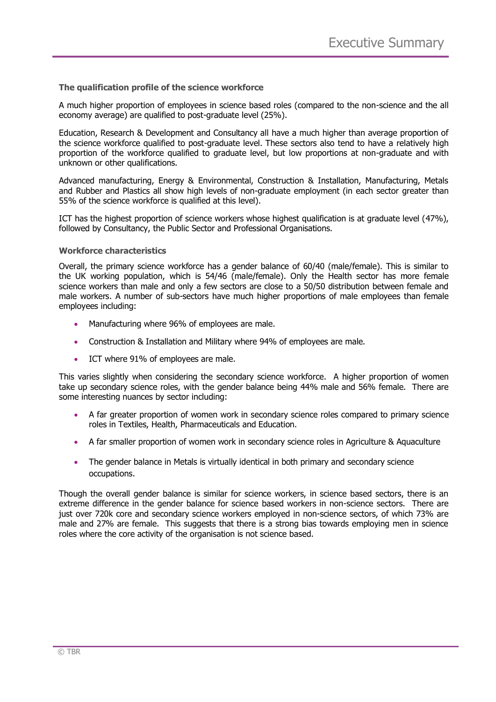# **The qualification profile of the science workforce**

A much higher proportion of employees in science based roles (compared to the non-science and the all economy average) are qualified to post-graduate level (25%).

Education, Research & Development and Consultancy all have a much higher than average proportion of the science workforce qualified to post-graduate level. These sectors also tend to have a relatively high proportion of the workforce qualified to graduate level, but low proportions at non-graduate and with unknown or other qualifications.

Advanced manufacturing, Energy & Environmental, Construction & Installation, Manufacturing, Metals and Rubber and Plastics all show high levels of non-graduate employment (in each sector greater than 55% of the science workforce is qualified at this level).

ICT has the highest proportion of science workers whose highest qualification is at graduate level (47%), followed by Consultancy, the Public Sector and Professional Organisations.

#### **Workforce characteristics**

Overall, the primary science workforce has a gender balance of 60/40 (male/female). This is similar to the UK working population, which is 54/46 (male/female). Only the Health sector has more female science workers than male and only a few sectors are close to a 50/50 distribution between female and male workers. A number of sub-sectors have much higher proportions of male employees than female employees including:

- Manufacturing where 96% of employees are male.
- Construction & Installation and Military where 94% of employees are male.
- ICT where 91% of employees are male.

This varies slightly when considering the secondary science workforce. A higher proportion of women take up secondary science roles, with the gender balance being 44% male and 56% female. There are some interesting nuances by sector including:

- A far greater proportion of women work in secondary science roles compared to primary science roles in Textiles, Health, Pharmaceuticals and Education.
- A far smaller proportion of women work in secondary science roles in Agriculture & Aquaculture
- The gender balance in Metals is virtually identical in both primary and secondary science occupations.

Though the overall gender balance is similar for science workers, in science based sectors, there is an extreme difference in the gender balance for science based workers in non-science sectors. There are just over 720k core and secondary science workers employed in non-science sectors, of which 73% are male and 27% are female. This suggests that there is a strong bias towards employing men in science roles where the core activity of the organisation is not science based.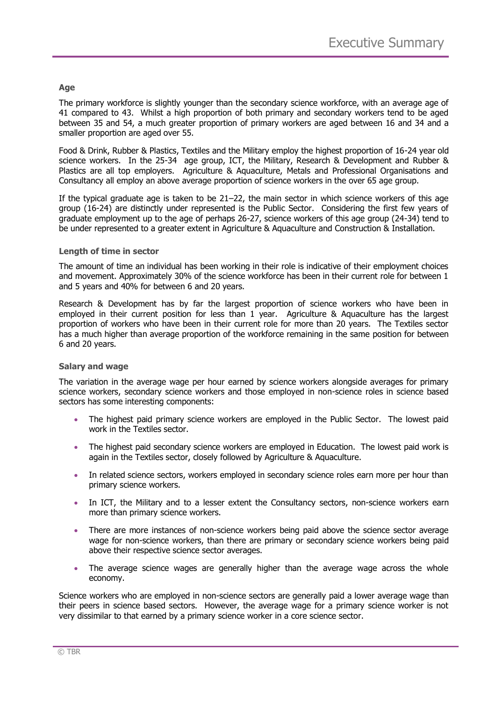# **Age**

The primary workforce is slightly younger than the secondary science workforce, with an average age of 41 compared to 43. Whilst a high proportion of both primary and secondary workers tend to be aged between 35 and 54, a much greater proportion of primary workers are aged between 16 and 34 and a smaller proportion are aged over 55.

Food & Drink, Rubber & Plastics, Textiles and the Military employ the highest proportion of 16-24 year old science workers. In the 25-34 age group, ICT, the Military, Research & Development and Rubber & Plastics are all top employers. Agriculture & Aquaculture, Metals and Professional Organisations and Consultancy all employ an above average proportion of science workers in the over 65 age group.

If the typical graduate age is taken to be 21–22, the main sector in which science workers of this age group (16-24) are distinctly under represented is the Public Sector. Considering the first few years of graduate employment up to the age of perhaps 26-27, science workers of this age group (24-34) tend to be under represented to a greater extent in Agriculture & Aquaculture and Construction & Installation.

# **Length of time in sector**

The amount of time an individual has been working in their role is indicative of their employment choices and movement. Approximately 30% of the science workforce has been in their current role for between 1 and 5 years and 40% for between 6 and 20 years.

Research & Development has by far the largest proportion of science workers who have been in employed in their current position for less than 1 year. Agriculture & Aquaculture has the largest proportion of workers who have been in their current role for more than 20 years. The Textiles sector has a much higher than average proportion of the workforce remaining in the same position for between 6 and 20 years.

## **Salary and wage**

The variation in the average wage per hour earned by science workers alongside averages for primary science workers, secondary science workers and those employed in non-science roles in science based sectors has some interesting components:

- The highest paid primary science workers are employed in the Public Sector. The lowest paid work in the Textiles sector.
- The highest paid secondary science workers are employed in Education. The lowest paid work is again in the Textiles sector, closely followed by Agriculture & Aquaculture.
- In related science sectors, workers employed in secondary science roles earn more per hour than primary science workers.
- In ICT, the Military and to a lesser extent the Consultancy sectors, non-science workers earn more than primary science workers.
- There are more instances of non-science workers being paid above the science sector average wage for non-science workers, than there are primary or secondary science workers being paid above their respective science sector averages.
- The average science wages are generally higher than the average wage across the whole economy.

Science workers who are employed in non-science sectors are generally paid a lower average wage than their peers in science based sectors. However, the average wage for a primary science worker is not very dissimilar to that earned by a primary science worker in a core science sector.